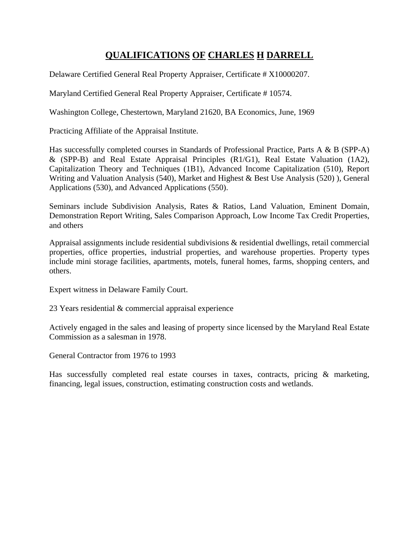## **QUALIFICATIONS OF CHARLES H DARRELL**

Delaware Certified General Real Property Appraiser, Certificate # X10000207.

Maryland Certified General Real Property Appraiser, Certificate # 10574.

Washington College, Chestertown, Maryland 21620, BA Economics, June, 1969

Practicing Affiliate of the Appraisal Institute.

Has successfully completed courses in Standards of Professional Practice, Parts A & B (SPP-A) & (SPP-B) and Real Estate Appraisal Principles (R1/G1), Real Estate Valuation (1A2), Capitalization Theory and Techniques (1B1), Advanced Income Capitalization (510), Report Writing and Valuation Analysis (540), Market and Highest & Best Use Analysis (520) ), General Applications (530), and Advanced Applications (550).

Seminars include Subdivision Analysis, Rates & Ratios, Land Valuation, Eminent Domain, Demonstration Report Writing, Sales Comparison Approach, Low Income Tax Credit Properties, and others

Appraisal assignments include residential subdivisions & residential dwellings, retail commercial properties, office properties, industrial properties, and warehouse properties. Property types include mini storage facilities, apartments, motels, funeral homes, farms, shopping centers, and others.

Expert witness in Delaware Family Court.

23 Years residential & commercial appraisal experience

Actively engaged in the sales and leasing of property since licensed by the Maryland Real Estate Commission as a salesman in 1978.

General Contractor from 1976 to 1993

Has successfully completed real estate courses in taxes, contracts, pricing & marketing, financing, legal issues, construction, estimating construction costs and wetlands.